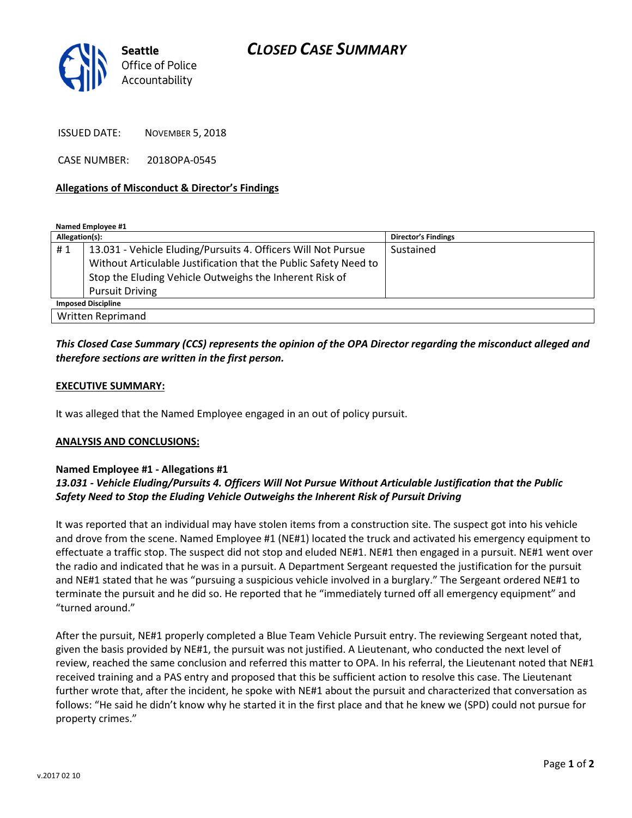

ISSUED DATE: NOVEMBER 5, 2018

CASE NUMBER: 2018OPA-0545

## Allegations of Misconduct & Director's Findings

Named Employee #1

| Allegation(s):            |                                                                  | <b>Director's Findings</b> |
|---------------------------|------------------------------------------------------------------|----------------------------|
| #1                        | 13.031 - Vehicle Eluding/Pursuits 4. Officers Will Not Pursue    | Sustained                  |
|                           | Without Articulable Justification that the Public Safety Need to |                            |
|                           | Stop the Eluding Vehicle Outweighs the Inherent Risk of          |                            |
|                           | <b>Pursuit Driving</b>                                           |                            |
| <b>Imposed Discipline</b> |                                                                  |                            |
| Written Reprimand         |                                                                  |                            |

# This Closed Case Summary (CCS) represents the opinion of the OPA Director regarding the misconduct alleged and therefore sections are written in the first person.

## EXECUTIVE SUMMARY:

It was alleged that the Named Employee engaged in an out of policy pursuit.

#### ANALYSIS AND CONCLUSIONS:

#### Named Employee #1 - Allegations #1

## 13.031 - Vehicle Eluding/Pursuits 4. Officers Will Not Pursue Without Articulable Justification that the Public Safety Need to Stop the Eluding Vehicle Outweighs the Inherent Risk of Pursuit Driving

It was reported that an individual may have stolen items from a construction site. The suspect got into his vehicle and drove from the scene. Named Employee #1 (NE#1) located the truck and activated his emergency equipment to effectuate a traffic stop. The suspect did not stop and eluded NE#1. NE#1 then engaged in a pursuit. NE#1 went over the radio and indicated that he was in a pursuit. A Department Sergeant requested the justification for the pursuit and NE#1 stated that he was "pursuing a suspicious vehicle involved in a burglary." The Sergeant ordered NE#1 to terminate the pursuit and he did so. He reported that he "immediately turned off all emergency equipment" and "turned around."

After the pursuit, NE#1 properly completed a Blue Team Vehicle Pursuit entry. The reviewing Sergeant noted that, given the basis provided by NE#1, the pursuit was not justified. A Lieutenant, who conducted the next level of review, reached the same conclusion and referred this matter to OPA. In his referral, the Lieutenant noted that NE#1 received training and a PAS entry and proposed that this be sufficient action to resolve this case. The Lieutenant further wrote that, after the incident, he spoke with NE#1 about the pursuit and characterized that conversation as follows: "He said he didn't know why he started it in the first place and that he knew we (SPD) could not pursue for property crimes."